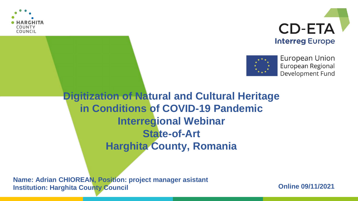





European Union European Regional Development Fund

**Digitization of Natural and Cultural Heritage in Conditions of COVID-19 Pandemic Interregional Webinar State-of-Art Harghita County, Romania**

**Name: Adrian CHIOREAN, Position: project manager asistant Institution: Harghita County Council**

**Online 09/11/2021**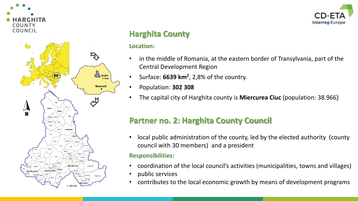



### **Harghita County**

#### **Location:**

- in the middle of Romania, at the eastern border of Transylvania, part of the Central Development Region
- Surface: **6639 km<sup>2</sup>** , 2,8% of the country.
- Population: **302 308**
- The capital city of Harghita county is **Miercurea Ciuc** (population: 38.966)

### **Partner no. 2: Harghita County Council**

• local public administration of the county, led by the elected authority (county council with 30 members) and a president

#### **Responsibilities**:

- coordination of the local council's activities (municipalities, towns and villages)
- public services
- contributes to the local economic growth by means of development programs

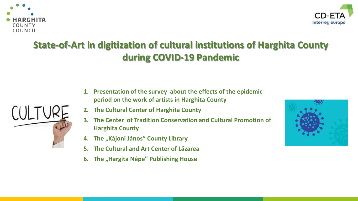



# **State-of-Art in digitization of cultural institutions of Harghita County during COVID-19 Pandemic**

- 
- **1. Presentation of the survey about the effects of the epidemic period on the work of artists in Harghita County**
	- **2. The Cultural Center of Harghita County**
	- **3. The Center of Tradition Conservation and Cultural Promotion of Harghita County**
	- **4. The "Kájoni János" County Library**
	- **5. The Cultural and Art Center of Lăzarea**
	- **6. The "Hargita Népe" Publishing House**

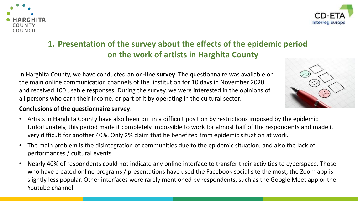



## **1. Presentation of the survey about the effects of the epidemic period on the work of artists in Harghita County**

In Harghita County, we have conducted an **on-line survey**. The questionnaire was available on the main online communication channels of the institution for 10 days in November 2020, and received 100 usable responses. During the survey, we were interested in the opinions of all persons who earn their income, or part of it by operating in the cultural sector.

#### **Conclusions of the questionnaire survey**:

- Artists in Harghita County have also been put in a difficult position by restrictions imposed by the epidemic. Unfortunately, this period made it completely impossible to work for almost half of the respondents and made it very difficult for another 40%. Only 2% claim that he benefited from epidemic situation at work.
- The main problem is the disintegration of communities due to the epidemic situation, and also the lack of performances / cultural events.
- Nearly 40% of respondents could not indicate any online interface to transfer their activities to cyberspace. Those who have created online programs / presentations have used the Facebook social site the most, the Zoom app is slightly less popular. Other interfaces were rarely mentioned by respondents, such as the Google Meet app or the Youtube channel.

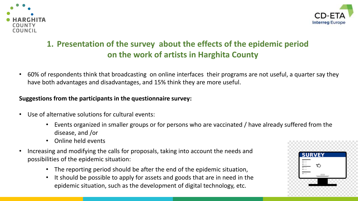



# **1. Presentation of the survey about the effects of the epidemic period on the work of artists in Harghita County**

• 60% of respondents think that broadcasting on online interfaces their programs are not useful, a quarter say they have both advantages and disadvantages, and 15% think they are more useful.

#### **Suggestions from the participants in the questionnaire survey:**

- Use of alternative solutions for cultural events:
	- Events organized in smaller groups or for persons who are vaccinated / have already suffered from the disease, and /or
	- Online held events
- Increasing and modifying the calls for proposals, taking into account the needs and possibilities of the epidemic situation:
	- The reporting period should be after the end of the epidemic situation,
	- It should be possible to apply for assets and goods that are in need in the epidemic situation, such as the development of digital technology, etc.

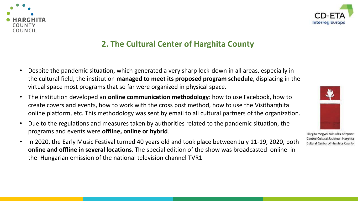



### **2. The Cultural Center of Harghita County**

- Despite the pandemic situation, which generated a very sharp lock-down in all areas, especially in the cultural field, the institution **managed to meet its proposed program schedule**, displacing in the virtual space most programs that so far were organized in physical space.
- The institution developed an **online communication methodology**: how to use Facebook, how to create covers and events, how to work with the cross post method, how to use the Visitharghita online platform, etc. This methodology was sent by email to all cultural partners of the organization.
- Due to the regulations and measures taken by authorities related to the pandemic situation, the programs and events were **offline, online or hybrid**.
- In 2020, the Early Music Festival turned 40 years old and took place between July 11-19, 2020, both **online and offline in several locations**. The special edition of the show was broadcasted online in the Hungarian emission of the national television channel TVR1.



Hargita Megyei Kulturális Központ Centrul Cultural Judetean Harghita Cultural Center of Harghita County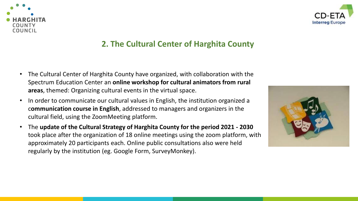



### **2. The Cultural Center of Harghita County**

- The Cultural Center of Harghita County have organized, with collaboration with the Spectrum Education Center an **online workshop for cultural animators from rural areas**, themed: Organizing cultural events in the virtual space.
- In order to communicate our cultural values in English, the institution organized a c**ommunication course in English**, addressed to managers and organizers in the cultural field, using the ZoomMeeting platform.
- The **update of the Cultural Strategy of Harghita County for the period 2021 - 2030**  took place after the organization of 18 online meetings using the zoom platform, with approximately 20 participants each. Online public consultations also were held regularly by the institution (eg. Google Form, SurveyMonkey).

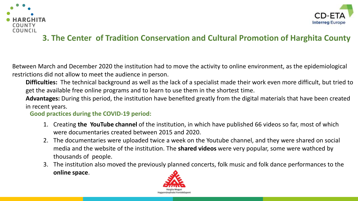



## **3. The Center of Tradition Conservation and Cultural Promotion of Harghita County**

Between March and December 2020 the institution had to move the activity to online environment, as the epidemiological restrictions did not allow to meet the audience in person.

**Difficulties:** The technical background as well as the lack of a specialist made their work even more difficult, but tried to get the available free online programs and to learn to use them in the shortest time.

**Advantages:** During this period, the institution have benefited greatly from the digital materials that have been created in recent years.

**Good practices during the COVID-19 period:** 

- 1. Creating **the YouTube channel** of the institution, in which have published 66 videos so far, most of which were documentaries created between 2015 and 2020.
- 2. The documentaries were uploaded twice a week on the Youtube channel, and they were shared on social media and the website of the institution. The **shared videos** were very popular, some were wathced by thousands of people.
- 3. The institution also moved the previously planned concerts, folk music and folk dance performances to the **online space**.

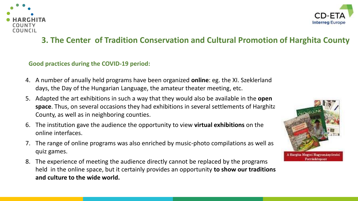



### **3. The Center of Tradition Conservation and Cultural Promotion of Harghita County**

#### **Good practices during the COVID-19 period:**

- 4. A number of anually held programs have been organized **online**: eg. the XI. Szeklerland days, the Day of the Hungarian Language, the amateur theater meeting, etc.
- 5. Adapted the art exhibitions in such a way that they would also be available in the **open space**. Thus, on several occasions they had exhibitions in several settlements of Harghita County, as well as in neighboring counties.
- 6. The institution gave the audience the opportunity to view **virtual exhibitions** on the online interfaces.
- 7. The range of online programs was also enriched by music-photo compilations as well as quiz games.
- 8. The experience of meeting the audience directly cannot be replaced by the programs held in the online space, but it certainly provides an opportunity **to show our traditions and culture to the wide world.**

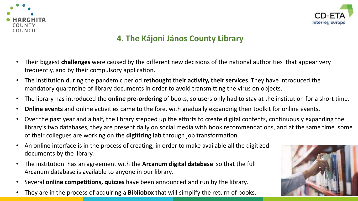



### **4. The Kájoni János County Library**

- Their biggest **challenges** were caused by the different new decisions of the national authorities that appear very frequently, and by their compulsory application.
- The institution during the pandemic period **rethought their activity, their services**. They have introduced the mandatory quarantine of library documents in order to avoid transmitting the virus on objects.
- The library has introduced the **online pre-ordering** of books, so users only had to stay at the institution for a short time.
- **Online events** and online activities came to the fore, with gradually expanding their toolkit for online events.
- Over the past year and a half, the library stepped up the efforts to create digital contents, continuously expanding the library's two databases, they are present daily on social media with book recommendations, and at the same time some of their collegues are working on the **digitizing lab** through job transformation.
- An online interface is in the process of creating, in order to make available all the digitized documents by the library.
- The institution has an agreement with the **Arcanum digital database** so that the full Arcanum database is available to anyone in our library.
- Several **online competitions, quizzes** have been announced and run by the library.
- They are in the process of acquiring a **Bibliobox** that will simplify the return of books.

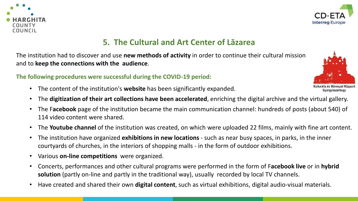



### **5. The Cultural and Art Center of Lăzarea**

The institution had to discover and use **new methods of activity** in order to continue their cultural mission and to **keep the connections with the audience**.

#### **The following procedures were successful during the COVID-19 period:**

- The content of the institution's **website** has been significantly expanded.
- The **digitization of their art collections have been accelerated**, enriching the digital archive and the virtual gallery.
- The F**acebook** page of the institution became the main communication channel: hundreds of posts (about 540) of 114 video content were shared.
- The **Youtube channel** of the institution was created, on which were uploaded 22 films, mainly with fine art content.
- The institution have organized **exhibitions in new locations**  such as near busy spaces, in parks, in the inner courtyards of churches, in the interiors of shopping malls - in the form of outdoor exhibitions.
- Various **on-line competitions** were organized.
- Concerts, performances and other cultural programs were performed in the form of F**acebook live** or in **hybrid solution** (partly on-line and partly in the traditional way), usually recorded by local TV channels.
- Have created and shared their own **digital content**, such as virtual exhibitions, digital audio-visual materials.



Gyergyószárhegy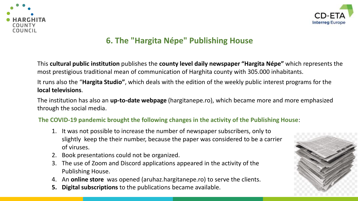



## **6. The "Hargita Népe" Publishing House**

This **cultural public institution** publishes the **county level daily newspaper "Hargita Népe"** which represents the most prestigious traditional mean of communication of Harghita county with 305.000 inhabitants.

It runs also the "**Hargita Studio"**, which deals with the edition of the weekly public interest programs for the **local televisions**.

The institution has also an **up-to-date webpage** (hargitanepe.ro), which became more and more emphasized through the social media.

#### **The COVID-19 pandemic brought the following changes in the activity of the Publishing House**:

- 1. It was not possible to increase the number of newspaper subscribers, only to slightly keep the their number, because the paper was considered to be a carrier of viruses.
- 2. Book presentations could not be organized.
- 3. The use of Zoom and Discord applications appeared in the activity of the Publishing House.
- 4. An **online store** was opened (aruhaz.hargitanepe.ro) to serve the clients.
- **5. Digital subscriptions** to the publications became available.